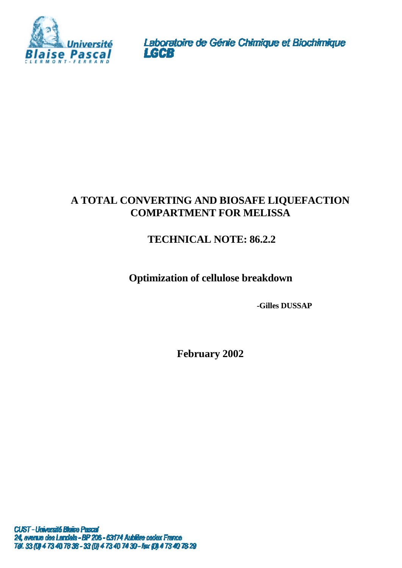

Laboratoire de Génie Chimique et Biochimique<br>LGCB

# **A TOTAL CONVERTING AND BIOSAFE LIQUEFACTION COMPARTMENT FOR MELISSA**

# **TECHNICAL NOTE: 86.2.2**

# **Optimization of cellulose breakdown**

**-Gilles DUSSAP**

**February 2002**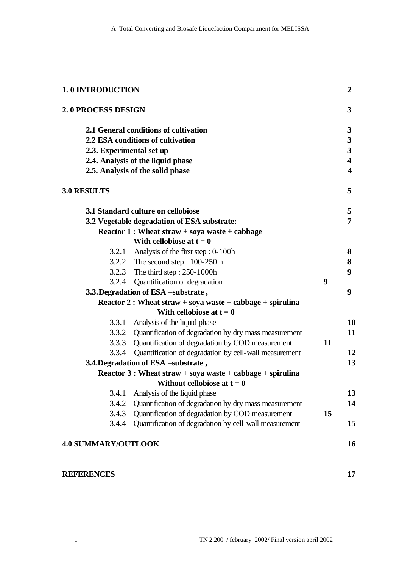| <b>1.0 INTRODUCTION</b>             |                                                             |    |                                                         |
|-------------------------------------|-------------------------------------------------------------|----|---------------------------------------------------------|
| 2.0 PROCESS DESIGN                  |                                                             |    | 3                                                       |
|                                     | 2.1 General conditions of cultivation                       |    | $\mathbf{3}$                                            |
|                                     | 2.2 ESA conditions of cultivation                           |    | $\mathbf{3}$<br>$\mathbf{3}$<br>$\overline{\mathbf{4}}$ |
| 2.3. Experimental set-up            |                                                             |    |                                                         |
|                                     | 2.4. Analysis of the liquid phase                           |    |                                                         |
|                                     | 2.5. Analysis of the solid phase                            |    | $\overline{\mathbf{4}}$                                 |
| <b>3.0 RESULTS</b>                  |                                                             |    | 5                                                       |
|                                     | 3.1 Standard culture on cellobiose                          |    | 5                                                       |
|                                     | 3.2 Vegetable degradation of ESA-substrate:                 |    | 7                                                       |
|                                     | Reactor 1 : Wheat straw + soya waste + cabbage              |    |                                                         |
|                                     | With cellobiose at $t = 0$                                  |    |                                                         |
|                                     | 3.2.1 Analysis of the first step : 0-100h                   |    | 8                                                       |
|                                     | 3.2.2 The second step: $100-250$ h                          |    | 8                                                       |
|                                     | 3.2.3 The third step: 250-1000h                             |    | 9                                                       |
|                                     | 3.2.4 Quantification of degradation                         | 9  | 9                                                       |
| 3.3. Degradation of ESA -substrate, |                                                             |    |                                                         |
|                                     | Reactor 2 : Wheat straw + soya waste + cabbage + spirulina  |    |                                                         |
|                                     | With cellobiose at $t = 0$                                  |    |                                                         |
| 3.3.1                               | Analysis of the liquid phase                                |    | 10                                                      |
|                                     | 3.3.2 Quantification of degradation by dry mass measurement |    | 11                                                      |
|                                     | 3.3.3 Quantification of degradation by COD measurement      | 11 |                                                         |
| 3.3.4                               | Quantification of degradation by cell-wall measurement      |    | 12                                                      |
|                                     | 3.4. Degradation of ESA -substrate,                         |    | 13                                                      |
|                                     | Reactor $3:$ Wheat straw + soya waste + cabbage + spirulina |    |                                                         |
|                                     | Without cellobiose at $t = 0$                               |    |                                                         |
| 3.4.1                               | Analysis of the liquid phase                                |    | 13                                                      |
| 3.4.2                               | Quantification of degradation by dry mass measurement       |    | 14                                                      |
| 3.4.3                               | Quantification of degradation by COD measurement            | 15 |                                                         |
| 3.4.4                               | Quantification of degradation by cell-wall measurement      |    | 15                                                      |
| <b>4.0 SUMMARY/OUTLOOK</b>          |                                                             |    | 16                                                      |
| <b>REFERENCES</b>                   |                                                             |    | 17                                                      |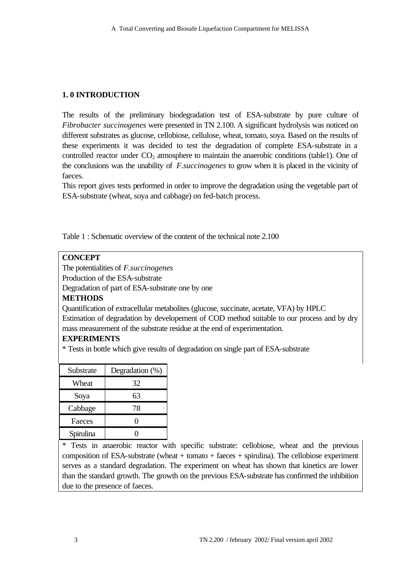# **1. 0 INTRODUCTION**

The results of the preliminary biodegradation test of ESA-substrate by pure culture of *Fibrobacter succinogenes* were presented in TN 2.100. A significant hydrolysis was noticed on different substrates as glucose, cellobiose, cellulose, wheat, tomato, soya. Based on the results of these experiments it was decided to test the degradation of complete ESA-substrate in a controlled reactor under  $CO<sub>2</sub>$  atmosphere to maintain the anaerobic conditions (table1). One of the conclusions was the unability of *F.succinogenes* to grow when it is placed in the vicinity of faeces.

This report gives tests performed in order to improve the degradation using the vegetable part of ESA-substrate (wheat, soya and cabbage) on fed-batch process.

Table 1 : Schematic overview of the content of the technical note 2.100

## **CONCEPT**

The potentialities of *F.succinogenes*

Production of the ESA-substrate

Degradation of part of ESA-substrate one by one

# **METHODS**

Quantification of extracellular metabolites (glucose, succinate, acetate, VFA) by HPLC

Estimation of degradation by developement of COD method suitable to our process and by dry mass measurement of the substrate residue at the end of experimentation.

# **EXPERIMENTS**

\* Tests in bottle which give results of degradation on single part of ESA-substrate

| Substrate | Degradation (%) |
|-----------|-----------------|
| Wheat     | 32              |
| Soya      | 63              |
| Cabbage   | 78              |
| Faeces    |                 |
| Spirulina |                 |

\* Tests in anaerobic reactor with specific substrate: cellobiose, wheat and the previous composition of ESA-substrate (wheat  $+$  tomato  $+$  faeces  $+$  spirulina). The cellobiose experiment serves as a standard degradation. The experiment on wheat has shown that kinetics are lower than the standard growth. The growth on the previous ESA-substrate has confirmed the inhibition due to the presence of faeces.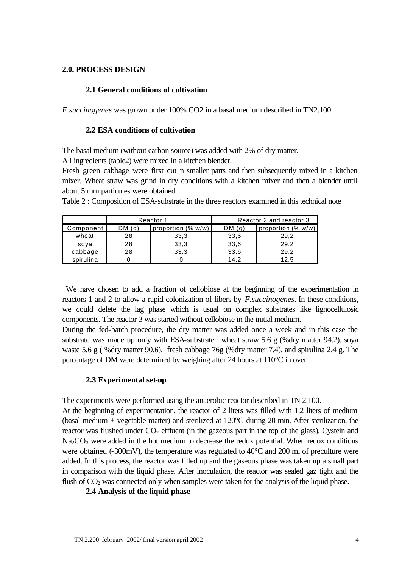### **2.0. PROCESS DESIGN**

#### **2.1 General conditions of cultivation**

*F.succinogenes* was grown under 100% CO2 in a basal medium described in TN2.100.

#### **2.2 ESA conditions of cultivation**

The basal medium (without carbon source) was added with 2% of dry matter.

All ingredients (table2) were mixed in a kitchen blender.

Fresh green cabbage were first cut in smaller parts and then subsequently mixed in a kitchen mixer. Wheat straw was grind in dry conditions with a kitchen mixer and then a blender until about 5 mm particules were obtained.

Table 2 : Composition of ESA-substrate in the three reactors examined in this technical note

|           |         | Reactor 1          | Reactor 2 and reactor 3 |                    |  |
|-----------|---------|--------------------|-------------------------|--------------------|--|
| Component | DM( q ) | proportion (% w/w) | DM(q)                   | proportion (% w/w) |  |
| wheat     | 28      | 33,3               | 33,6                    | 29,2               |  |
| sova      | 28      | 33,3               | 33,6                    | 29,2               |  |
| cabbage   | 28      | 33,3               | 33,6                    | 29,2               |  |
| spirulina |         |                    | 14.2                    | 12,5               |  |

 We have chosen to add a fraction of cellobiose at the beginning of the experimentation in reactors 1 and 2 to allow a rapid colonization of fibers by *F.succinogenes*. In these conditions, we could delete the lag phase which is usual on complex substrates like lignocellulosic components. The reactor 3 was started without cellobiose in the initial medium.

During the fed-batch procedure, the dry matter was added once a week and in this case the substrate was made up only with ESA-substrate : wheat straw 5.6 g (%dry matter 94.2), soya waste 5.6 g ( %dry matter 90.6), fresh cabbage 76g (%dry matter 7.4), and spirulina 2.4 g. The percentage of DM were determined by weighing after 24 hours at 110°C in oven.

### **2.3 Experimental set-up**

The experiments were performed using the anaerobic reactor described in TN 2.100.

At the beginning of experimentation, the reactor of 2 liters was filled with 1.2 liters of medium (basal medium + vegetable matter) and sterilized at 120°C during 20 min. After sterilization, the reactor was flushed under  $CO<sub>2</sub>$  effluent (in the gazeous part in the top of the glass). Cystein and  $Na_2CO_3$  were added in the hot medium to decrease the redox potential. When redox conditions were obtained (-300mV), the temperature was regulated to  $40^{\circ}$ C and  $200$  ml of preculture were added. In this process, the reactor was filled up and the gaseous phase was taken up a small part in comparison with the liquid phase. After inoculation, the reactor was sealed gaz tight and the flush of  $CO<sub>2</sub>$  was connected only when samples were taken for the analysis of the liquid phase.

**2.4 Analysis of the liquid phase**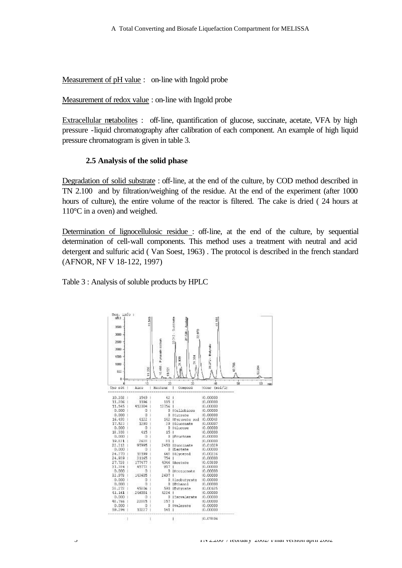Measurement of pH value : on-line with Ingold probe

Measurement of redox value : on-line with Ingold probe

Extracellular metabolites : off-line, quantification of glucose, succinate, acetate, VFA by high pressure -liquid chromatography after calibration of each component. An example of high liquid pressure chromatogram is given in table 3.

### **2.5 Analysis of the solid phase**

Degradation of solid substrate : off-line, at the end of the culture, by COD method described in TN 2.100 and by filtration/weighing of the residue. At the end of the experiment (after 1000 hours of culture), the entire volume of the reactor is filtered. The cake is dried ( 24 hours at 110°C in a oven) and weighed.

Determination of lignocellulosic residue : off-line, at the end of the culture, by sequential determination of cell-wall components. This method uses a treatment with neutral and acid detergent and sulfuric acid ( Van Soest, 1963) . The protocol is described in the french standard (AFNOR, NF V 18-122, 1997)

Table 3 : Analysis of soluble products by HPLC

| Seq. info :<br>nFil.J.<br>3500<br>3000<br>2500<br>2000<br>1500<br>1000<br>400<br>0 | 35<br>1,208 | Pyruvate socialn<br>6,480.<br>Š | 22.512 - Succines<br>27.728 - Against<br>80802<br>薨<br>ê<br>F, | S272-Bayout          | 48.796 | 馬匹 |
|------------------------------------------------------------------------------------|-------------|---------------------------------|----------------------------------------------------------------|----------------------|--------|----|
| n<br>Tou rút                                                                       | ٩b<br>1100  | Heuteur                         | Contogé                                                        | a)<br>[cone (real/1] | 50     | 60 |
|                                                                                    |             |                                 |                                                                |                      |        |    |
| 10.202                                                                             | 1549        | 42                              |                                                                | 10.00000             |        |    |
| 11,206                                                                             | 1196        | 115                             |                                                                | 10.00000             |        |    |
| 11.545                                                                             | 412004      | 13756                           |                                                                | 10,00000             |        |    |
| 0.000                                                                              | о           | D                               | ICellobiosa                                                    | 10.00000             |        |    |
| 0.000                                                                              | o           |                                 | B (Citrate                                                     | 10.00000             |        |    |
| 16.493                                                                             | 4122        |                                 | 142   Pyravate sod                                             | 10.0004B             |        |    |
| 17.523                                                                             | 1290        | -39                             | 191uccnate                                                     | 10.00007             |        |    |
| 0.000<br>18,303                                                                    | α<br>415    | $15 - 1$                        | <b>D</b> ItLicour                                              | 10.00000<br>10.00000 |        |    |
| 0.000                                                                              | o           | n.                              | <b>IFructosk</b>                                               | 10.00000             |        |    |
| 19,821                                                                             | 2638        | 81                              |                                                                | 0.00000              |        |    |
| 22.312                                                                             | 97995       |                                 | 2450 lauccinate                                                | 10.01029             |        |    |
| 0,000                                                                              | Ű           |                                 | <b>D</b> ILactate                                              | 10,00000             |        |    |
| 24.370                                                                             | 18199       | 64B.                            | [&Lycerol]                                                     | 10.00226             |        |    |
| 24.939                                                                             | 31165       | 754                             |                                                                | 10.00000             |        |    |
| 27.720                                                                             | 177477      | 4046                            | lAgetate                                                       | 10.05009             |        |    |
| 31,380                                                                             | 45772       | 917                             |                                                                | 10,00000             |        |    |
| 0.000                                                                              | O           |                                 | 0   Propionate                                                 | 10.00000             |        |    |
| 32.978                                                                             | 141605      | 2697                            |                                                                | 10.00000             |        |    |
| 0.000                                                                              | Ű           | Ŭ.                              | lisobatyrate                                                   | 10.00000             |        |    |
| 0.000                                                                              | O           |                                 | 0 (Bthanol                                                     | 10.00030             |        |    |
| 36.272                                                                             | 45806       |                                 | 590 IButvrate                                                  | 10.00685             |        |    |
| 41.161                                                                             | 246001      | 4226                            |                                                                | 10.00000             |        |    |
| 0,000                                                                              | Ű           | D                               | [Isovalerate]                                                  | 10.00000             |        |    |
| 48.766                                                                             | 22885       | 357                             |                                                                | 10.00000             |        |    |
| 0.000                                                                              | o           |                                 | D Ivalerate                                                    | 10.00000             |        |    |
| 59,294                                                                             | 10227       | $1 + 1$                         |                                                                | 10,00000             |        |    |
|                                                                                    |             |                                 |                                                                | 10.07814             |        |    |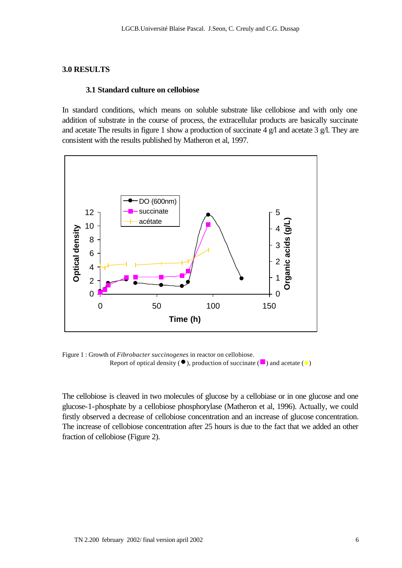#### **3.0 RESULTS**

#### **3.1 Standard culture on cellobiose**

In standard conditions, which means on soluble substrate like cellobiose and with only one addition of substrate in the course of process, the extracellular products are basically succinate and acetate The results in figure 1 show a production of succinate 4 g/l and acetate 3 g/l. They are consistent with the results published by Matheron et al, 1997.



Figure 1 : Growth of *Fibrobacter succinogenes* in reactor on cellobiose. Report of optical density ( $\bullet$ ), production of succinate ( $\bullet$ ) and acetate ( $\bullet$ )

The cellobiose is cleaved in two molecules of glucose by a cellobiase or in one glucose and one glucose-1-phosphate by a cellobiose phosphorylase (Matheron et al, 1996). Actually, we could firstly observed a decrease of cellobiose concentration and an increase of glucose concentration. The increase of cellobiose concentration after 25 hours is due to the fact that we added an other fraction of cellobiose (Figure 2).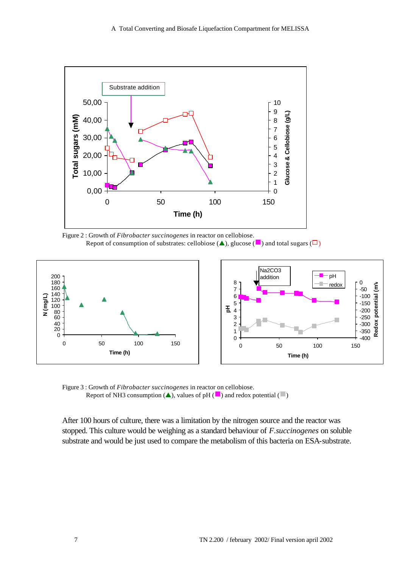

Figure 2 : Growth of *Fibrobacter succinogenes* in reactor on cellobiose. Report of consumption of substrates: cellobiose  $(\triangle)$ , glucose  $(\square)$  and total sugars  $(\square)$ 



Figure 3 : Growth of *Fibrobacter succinogenes* in reactor on cellobiose. Report of NH3 consumption ( $\blacktriangle$ ), values of pH ( $\blacksquare$ ) and redox potential ( $\blacksquare$ )

After 100 hours of culture, there was a limitation by the nitrogen source and the reactor was stopped. This culture would be weighing as a standard behaviour of *F.succinogenes* on soluble substrate and would be just used to compare the metabolism of this bacteria on ESA-substrate.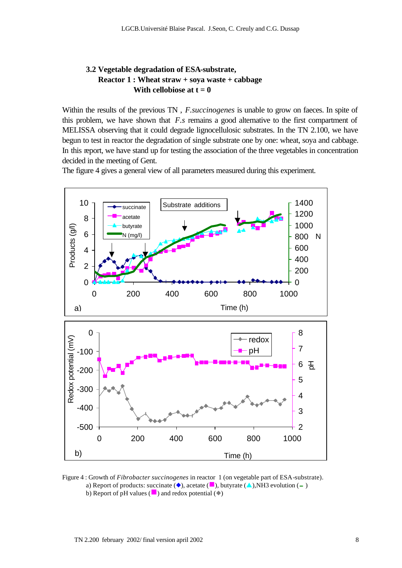# **3.2 Vegetable degradation of ESA-substrate, Reactor 1 : Wheat straw + soya waste + cabbage** With cellobiose at  $t = 0$

Within the results of the previous TN , *F.succinogenes* is unable to grow on faeces. In spite of this problem, we have shown that *F.s* remains a good alternative to the first compartment of MELISSA observing that it could degrade lignocellulosic substrates. In the TN 2.100, we have begun to test in reactor the degradation of single substrate one by one: wheat, soya and cabbage. In this report, we have stand up for testing the association of the three vegetables in concentration decided in the meeting of Gent.

The figure 4 gives a general view of all parameters measured during this experiment.



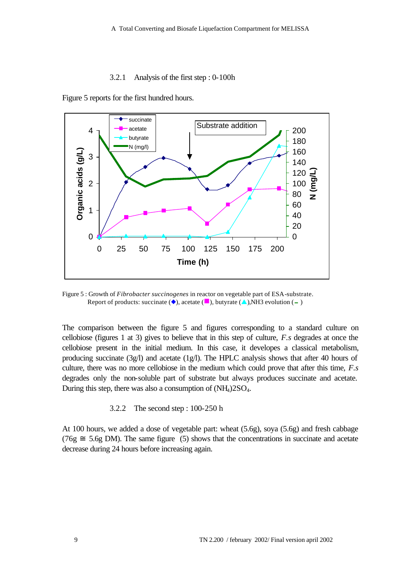#### 3.2.1 Analysis of the first step : 0-100h



Figure 5 reports for the first hundred hours.

Figure 5 : Growth of *Fibrobacter succinogenes* in reactor on vegetable part of ESA-substrate. Report of products: succinate ( $\blacklozenge$ ), acetate ( $\blacksquare$ ), butyrate ( $\blacktriangle$ ),NH3 evolution (-)

The comparison between the figure 5 and figures corresponding to a standard culture on cellobiose (figures 1 at 3) gives to believe that in this step of culture, *F.s* degrades at once the cellobiose present in the initial medium. In this case, it developes a classical metabolism, producing succinate  $(3g/l)$  and acetate  $(1g/l)$ . The HPLC analysis shows that after 40 hours of culture, there was no more cellobiose in the medium which could prove that after this time, *F.s* degrades only the non-soluble part of substrate but always produces succinate and acetate. During this step, there was also a consumption of  $(NH<sub>4</sub>)2SO<sub>4</sub>$ .

3.2.2 The second step : 100-250 h

At 100 hours, we added a dose of vegetable part: wheat (5.6g), soya (5.6g) and fresh cabbage  $(76g \approx 5.6g \text{ DM})$ . The same figure (5) shows that the concentrations in succinate and acetate decrease during 24 hours before increasing again.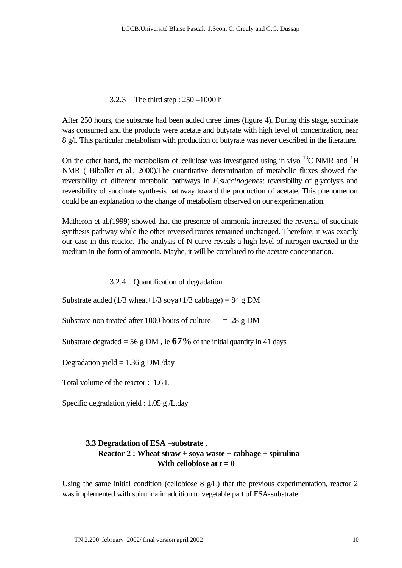## 3.2.3 The third step : 250 –1000 h

After 250 hours, the substrate had been added three times (figure 4). During this stage, succinate was consumed and the products were acetate and butyrate with high level of concentration, near 8 g/l. This particular metabolism with production of butyrate was never described in the literature.

On the other hand, the metabolism of cellulose was investigated using in vivo  $^{13}$ C NMR and  $^{1}$ H NMR ( Bibollet et al., 2000).The quantitative determination of metabolic fluxes showed the reversibility of different metabolic pathways in *F.succinogenes*: reversibility of glycolysis and reversibility of succinate synthesis pathway toward the production of acetate. This phenomenon could be an explanation to the change of metabolism observed on our experimentation.

Matheron et al.(1999) showed that the presence of ammonia increased the reversal of succinate synthesis pathway while the other reversed routes remained unchanged. Therefore, it was exactly our case in this reactor. The analysis of N curve reveals a high level of nitrogen excreted in the medium in the form of ammonia. Maybe, it will be correlated to the acetate concentration.

3.2.4 Quantification of degradation

Substrate added (1/3 wheat+1/3 soya+1/3 cabbage) =  $84 \text{ g}$  DM

Substrate non treated after 1000 hours of culture  $= 28 \text{ g} \text{ DM}$ 

Substrate degraded = 56 g DM, ie  $67\%$  of the initial quantity in 41 days

Degradation yield  $= 1.36$  g DM/day

Total volume of the reactor : 1.6 L

Specific degradation yield : 1.05 g /L.day

# **3.3 Degradation of ESA –substrate , Reactor 2 : Wheat straw + soya waste + cabbage + spirulina** With cellobiose at  $t = 0$

Using the same initial condition (cellobiose  $8 \text{ g/L}$ ) that the previous experimentation, reactor 2 was implemented with spirulina in addition to vegetable part of ESA-substrate.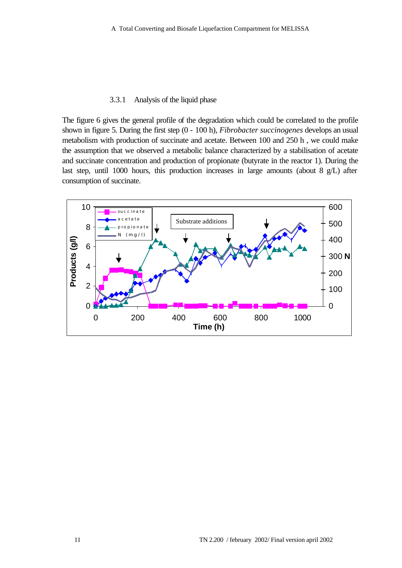#### 3.3.1 Analysis of the liquid phase

The figure 6 gives the general profile of the degradation which could be correlated to the profile shown in figure 5. During the first step (0 - 100 h), *Fibrobacter succinogenes* develops an usual metabolism with production of succinate and acetate. Between 100 and 250 h , we could make the assumption that we observed a metabolic balance characterized by a stabilisation of acetate and succinate concentration and production of propionate (butyrate in the reactor 1). During the last step, until 1000 hours, this production increases in large amounts (about 8 g/L) after consumption of succinate.

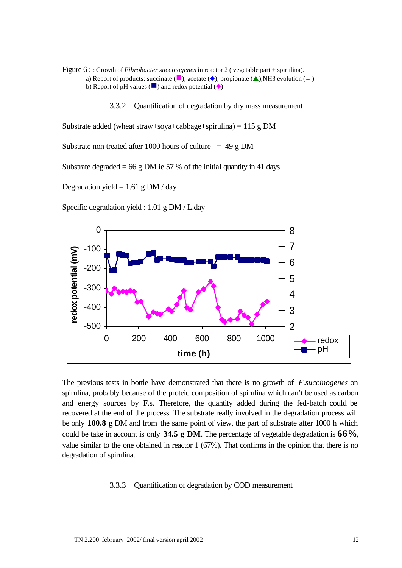- Figure 6 : : Growth of *Fibrobacter succinogenes* in reactor 2 ( vegetable part + spirulina). a) Report of products: succinate ( $\Box$ ), acetate ( $\Diamond$ ), propionate ( $\Diamond$ ), NH3 evolution (-) b) Report of pH values ( $\Box$ ) and redox potential ( $\Diamond$ )
	- 3.3.2 Quantification of degradation by dry mass measurement

Substrate added (wheat straw+soya+cabbage+spirulina) = 115 g DM

Substrate non treated after 1000 hours of culture  $= 49$  g DM

Substrate degraded = 66 g DM ie 57 % of the initial quantity in 41 days

Degradation yield =  $1.61$  g DM / day

Specific degradation yield : 1.01 g DM / L.day



The previous tests in bottle have demonstrated that there is no growth of *F.succinogenes* on spirulina, probably because of the proteic composition of spirulina which can't be used as carbon and energy sources by F.s. Therefore, the quantity added during the fed-batch could be recovered at the end of the process. The substrate really involved in the degradation process will be only **100.8 g** DM and from the same point of view, the part of substrate after 1000 h which could be take in account is only **34.5 g DM**. The percentage of vegetable degradation is **66%**, value similar to the one obtained in reactor 1 (67%). That confirms in the opinion that there is no degradation of spirulina.

#### 3.3.3 Quantification of degradation by COD measurement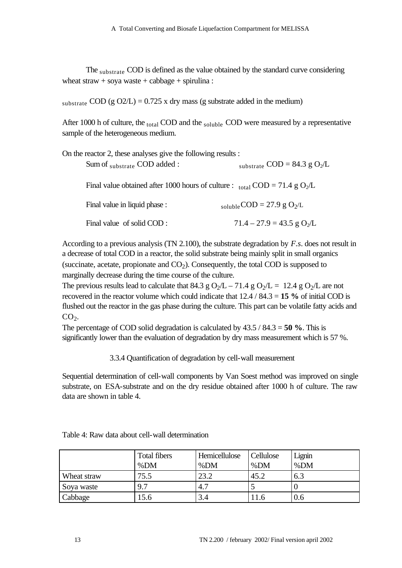The substrate COD is defined as the value obtained by the standard curve considering wheat straw + soya waste + cabbage + spirulina :

substrate COD (g O2/L) =  $0.725$  x dry mass (g substrate added in the medium)

After 1000 h of culture, the  $_{\text{total}}$  COD and the  $_{\text{soluble}}$  COD were measured by a representative sample of the heterogeneous medium.

| On the reactor 2, these analyses give the following results :                                       |                                          |
|-----------------------------------------------------------------------------------------------------|------------------------------------------|
| Sum of substrate COD added:                                                                         | substrate COD = 84.3 g $O_2/L$           |
| Final value obtained after 1000 hours of culture : $_{\text{total}}$ COD = 71.4 g O <sub>2</sub> /L |                                          |
| Final value in liquid phase :                                                                       | soluble $COD = 27.9$ g $O_2/L$           |
| Final value of solid COD:                                                                           | $71.4 - 27.9 = 43.5$ g O <sub>2</sub> /L |

According to a previous analysis (TN 2.100), the substrate degradation by *F.s*. does not result in a decrease of total COD in a reactor, the solid substrate being mainly split in small organics (succinate, acetate, propionate and  $CO<sub>2</sub>$ ). Consequently, the total COD is supposed to marginally decrease during the time course of the culture.

The previous results lead to calculate that 84.3 g  $O_2/L - 71.4$  g  $O_2/L = 12.4$  g  $O_2/L$  are not recovered in the reactor volume which could indicate that 12.4 / 84.3 = **15 %** of initial COD is flushed out the reactor in the gas phase during the culture. This part can be volatile fatty acids and  $CO<sub>2</sub>$ .

The percentage of COD solid degradation is calculated by 43.5 / 84.3 = **50 %**. This is significantly lower than the evaluation of degradation by dry mass measurement which is 57 %.

3.3.4 Quantification of degradation by cell-wall measurement

Sequential determination of cell-wall components by Van Soest method was improved on single substrate, on ESA-substrate and on the dry residue obtained after 1000 h of culture. The raw data are shown in table 4.

|             | <b>Total fibers</b><br>%DM | Hemicellulose<br>%DM | Cellulose<br>%DM | Lignin<br>%DM |
|-------------|----------------------------|----------------------|------------------|---------------|
| Wheat straw | 75.5                       | 23.2                 | 45.2             | 6.3           |
| Soya waste  | 9.7                        | 4.7                  |                  |               |
| Cabbage     | .5.6                       | 3.4                  | 11.6             | 0.6           |

| Table 4: Raw data about cell-wall determination |  |  |  |  |
|-------------------------------------------------|--|--|--|--|
|-------------------------------------------------|--|--|--|--|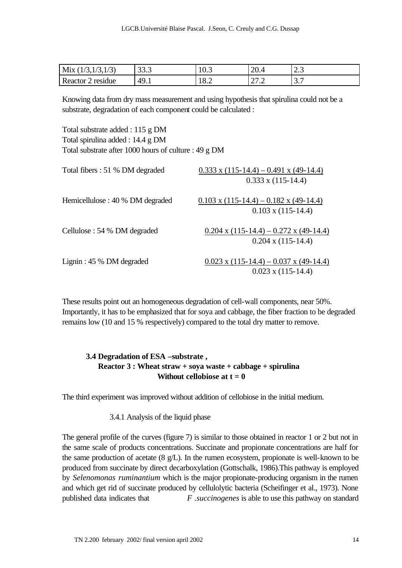| .<br>M1X<br>ر ا<br>$\mathbf{v}$ | 222<br>JJ.J | 10.J | ററ<br>20.4                     | $\sim$<br>ر ک      |
|---------------------------------|-------------|------|--------------------------------|--------------------|
| Reactor<br>residue<br>-         | 49.1        | 18.2 | $\mathcal{L}$<br>$\sim$ $\sim$ | -<br>$\sim$<br>، ب |

Knowing data from dry mass measurement and using hypothesis that spirulina could not be a substrate, degradation of each component could be calculated :

Total substrate added : 115 g DM Total spirulina added : 14.4 g DM Total substrate after 1000 hours of culture : 49 g DM

| Total fibers : 51 % DM degraded  | $0.333$ x (115-14.4) – 0.491 x (49-14.4)<br>$0.333 \times (115 - 14.4)$ |
|----------------------------------|-------------------------------------------------------------------------|
| Hemicellulose : 40 % DM degraded | $0.103$ x (115-14.4) – 0.182 x (49-14.4)<br>$0.103 \times (115 - 14.4)$ |
| Cellulose : 54 % DM degraded     | $0.204$ x (115-14.4) – 0.272 x (49-14.4)<br>$0.204 \times (115 - 14.4)$ |
| Lignin: 45 % DM degraded         | $0.023$ x (115-14.4) – 0.037 x (49-14.4)<br>$0.023$ x $(115-14.4)$      |

These results point out an homogeneous degradation of cell-wall components, near 50%. Importantly, it has to be emphasized that for soya and cabbage, the fiber fraction to be degraded remains low (10 and 15 % respectively) compared to the total dry matter to remove.

# **3.4 Degradation of ESA –substrate , Reactor 3 : Wheat straw + soya waste + cabbage + spirulina Without cellobiose at**  $t = 0$

The third experiment was improved without addition of cellobiose in the initial medium.

### 3.4.1 Analysis of the liquid phase

The general profile of the curves (figure 7) is similar to those obtained in reactor 1 or 2 but not in the same scale of products concentrations. Succinate and propionate concentrations are half for the same production of acetate  $(8 \text{ g/L})$ . In the rumen ecosystem, propionate is well-known to be produced from succinate by direct decarboxylation (Gottschalk, 1986).This pathway is employed by *Selenomonas ruminantium* which is the major propionate-producing organism in the rumen and which get rid of succinate produced by cellulolytic bacteria (Scheifinger et al., 1973). None published data indicates that *F .succinogenes* is able to use this pathway on standard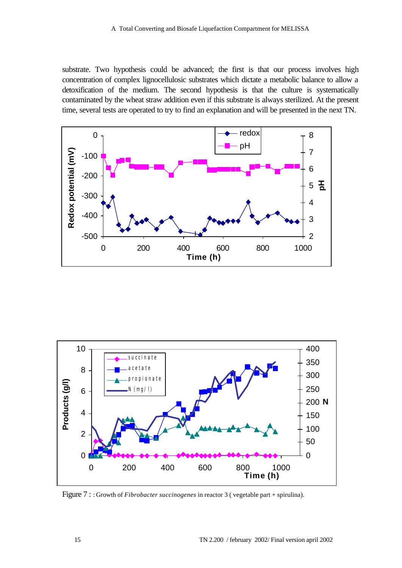substrate. Two hypothesis could be advanced; the first is that our process involves high concentration of complex lignocellulosic substrates which dictate a metabolic balance to allow a detoxification of the medium. The second hypothesis is that the culture is systematically contaminated by the wheat straw addition even if this substrate is always sterilized. At the present time, several tests are operated to try to find an explanation and will be presented in the next TN.





Figure 7 : : Growth of *Fibrobacter succinogenes* in reactor 3 ( vegetable part + spirulina).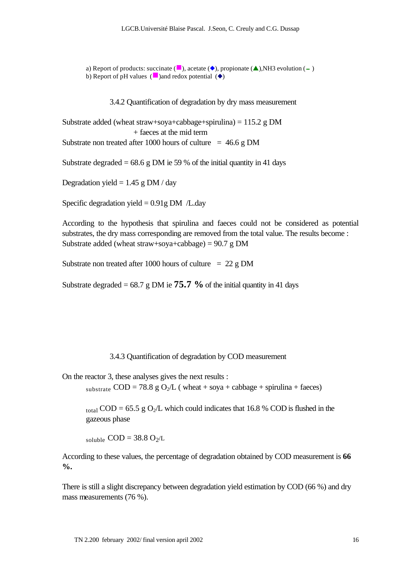a) Report of products: succinate  $(\blacksquare)$ , acetate  $(\lozenge)$ , propionate  $(\blacktriangle)$ ,NH3 evolution (-) b) Report of pH values ( $\Box$ )and redox potential ( $\blacklozenge$ )

3.4.2 Quantification of degradation by dry mass measurement

Substrate added (wheat straw+soya+cabbage+spirulina) =  $115.2$  g DM + faeces at the mid term Substrate non treated after 1000 hours of culture  $= 46.6$  g DM

Substrate degraded =  $68.6$  g DM ie 59 % of the initial quantity in 41 days

Degradation yield =  $1.45 \text{ g}$  DM / day

Specific degradation yield  $= 0.91g$  DM /L.day

According to the hypothesis that spirulina and faeces could not be considered as potential substrates, the dry mass corresponding are removed from the total value. The results become : Substrate added (wheat straw+soya+cabbage) =  $90.7 g$  DM

Substrate non treated after 1000 hours of culture  $= 22$  g DM

Substrate degraded =  $68.7$  g DM ie  $75.7$  % of the initial quantity in 41 days

3.4.3 Quantification of degradation by COD measurement

On the reactor 3, these analyses gives the next results :

substrate  $COD = 78.8$  g  $O_2/L$  (wheat + soya + cabbage + spirulina + faeces)

 $_{\text{total}}$  COD = 65.5 g O<sub>2</sub>/L which could indicates that 16.8 % COD is flushed in the gazeous phase

soluble  $\text{COD} = 38.8 \text{ O}_2/\text{L}$ 

According to these values, the percentage of degradation obtained by COD measurement is **66 %.**

There is still a slight discrepancy between degradation yield estimation by COD (66 %) and dry mass measurements (76 %).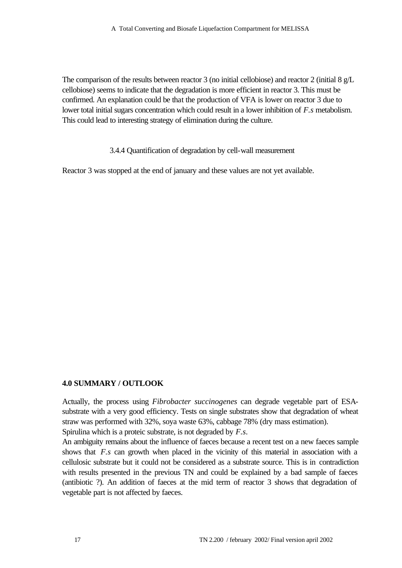The comparison of the results between reactor 3 (no initial cellobiose) and reactor 2 (initial 8 g/L cellobiose) seems to indicate that the degradation is more efficient in reactor 3. This must be confirmed. An explanation could be that the production of VFA is lower on reactor 3 due to lower total initial sugars concentration which could result in a lower inhibition of *F.s* metabolism. This could lead to interesting strategy of elimination during the culture.

3.4.4 Quantification of degradation by cell-wall measurement

Reactor 3 was stopped at the end of january and these values are not yet available.

# **4.0 SUMMARY / OUTLOOK**

Actually, the process using *Fibrobacter succinogenes* can degrade vegetable part of ESAsubstrate with a very good efficiency. Tests on single substrates show that degradation of wheat straw was performed with 32%, soya waste 63%, cabbage 78% (dry mass estimation). Spirulina which is a proteic substrate, is not degraded by *F.s*.

An ambiguity remains about the influence of faeces because a recent test on a new faeces sample shows that *F.s* can growth when placed in the vicinity of this material in association with a cellulosic substrate but it could not be considered as a substrate source. This is in contradiction with results presented in the previous TN and could be explained by a bad sample of faeces (antibiotic ?). An addition of faeces at the mid term of reactor 3 shows that degradation of vegetable part is not affected by faeces.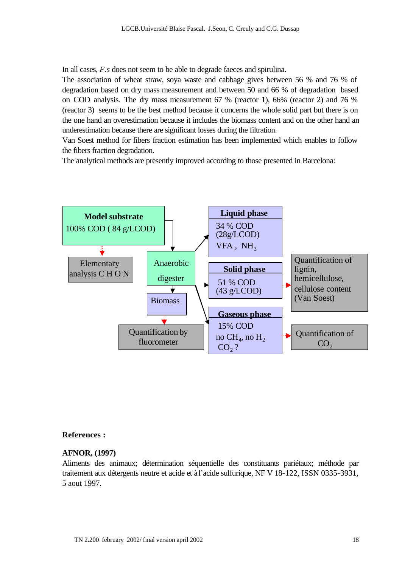In all cases, *F.s* does not seem to be able to degrade faeces and spirulina.

The association of wheat straw, soya waste and cabbage gives between 56 % and 76 % of degradation based on dry mass measurement and between 50 and 66 % of degradation based on COD analysis. The dry mass measurement 67 % (reactor 1), 66% (reactor 2) and 76 % (reactor 3) seems to be the best method because it concerns the whole solid part but there is on the one hand an overestimation because it includes the biomass content and on the other hand an underestimation because there are significant losses during the filtration.

Van Soest method for fibers fraction estimation has been implemented which enables to follow the fibers fraction degradation.

The analytical methods are presently improved according to those presented in Barcelona:



#### **References :**

#### **AFNOR, (1997)**

Aliments des animaux; détermination séquentielle des constituants pariétaux; méthode par traitement aux détergents neutre et acide et à l'acide sulfurique, NF V 18-122, ISSN 0335-3931, 5 aout 1997.